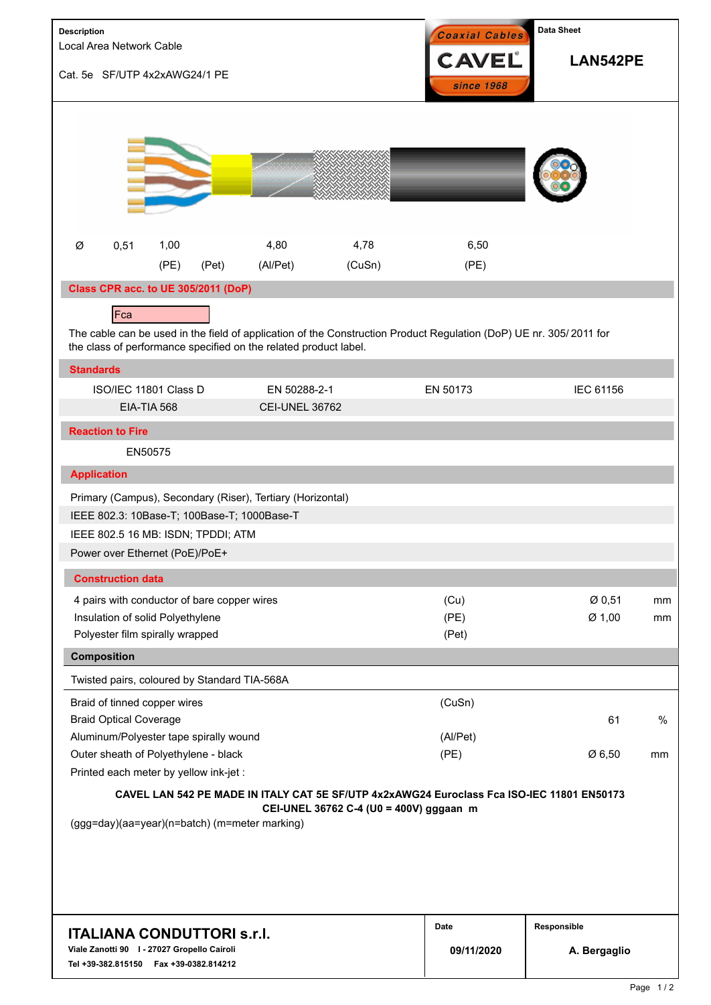| Description<br>Local Area Network Cable                                                                                       |                                                                     |      |                                                                                |                                                                                                           |                                         | Coaxial Cables                                                                                                     | Data Sheet                  |          |  |
|-------------------------------------------------------------------------------------------------------------------------------|---------------------------------------------------------------------|------|--------------------------------------------------------------------------------|-----------------------------------------------------------------------------------------------------------|-----------------------------------------|--------------------------------------------------------------------------------------------------------------------|-----------------------------|----------|--|
| Cat. 5e SF/UTP 4x2xAWG24/1 PE                                                                                                 |                                                                     |      |                                                                                |                                                                                                           | <b>CAVEL</b><br>since 1968              |                                                                                                                    |                             | LAN542PE |  |
|                                                                                                                               |                                                                     |      |                                                                                |                                                                                                           |                                         |                                                                                                                    |                             |          |  |
| Ø                                                                                                                             | 0,51                                                                | 1,00 |                                                                                | 4,80                                                                                                      | 4,78                                    | 6,50                                                                                                               |                             |          |  |
|                                                                                                                               |                                                                     | (PE) | (Pet)                                                                          | (Al/Pet)                                                                                                  | (CuSn)                                  | (PE)                                                                                                               |                             |          |  |
|                                                                                                                               |                                                                     |      | Class CPR acc. to UE 305/2011 (DoP)                                            |                                                                                                           |                                         |                                                                                                                    |                             |          |  |
|                                                                                                                               | Fca                                                                 |      |                                                                                |                                                                                                           |                                         |                                                                                                                    |                             |          |  |
|                                                                                                                               |                                                                     |      |                                                                                | the class of performance specified on the related product label.                                          |                                         | The cable can be used in the field of application of the Construction Product Regulation (DoP) UE nr. 305/2011 for |                             |          |  |
| <b>Standards</b>                                                                                                              |                                                                     |      |                                                                                |                                                                                                           |                                         |                                                                                                                    |                             |          |  |
|                                                                                                                               | ISO/IEC 11801 Class D                                               |      |                                                                                | EN 50288-2-1                                                                                              |                                         | EN 50173                                                                                                           | IEC 61156                   |          |  |
|                                                                                                                               | EIA-TIA 568                                                         |      |                                                                                | <b>CEI-UNEL 36762</b>                                                                                     |                                         |                                                                                                                    |                             |          |  |
|                                                                                                                               | <b>Reaction to Fire</b>                                             |      |                                                                                |                                                                                                           |                                         |                                                                                                                    |                             |          |  |
|                                                                                                                               | EN50575                                                             |      |                                                                                |                                                                                                           |                                         |                                                                                                                    |                             |          |  |
| <b>Application</b>                                                                                                            |                                                                     |      |                                                                                |                                                                                                           |                                         |                                                                                                                    |                             |          |  |
|                                                                                                                               | Power over Ethernet (PoE)/PoE+                                      |      | IEEE 802.5 16 MB: ISDN; TPDDI; ATM                                             | Primary (Campus), Secondary (Riser), Tertiary (Horizontal)<br>IEEE 802.3: 10Base-T; 100Base-T; 1000Base-T |                                         |                                                                                                                    |                             |          |  |
|                                                                                                                               | <b>Construction data</b>                                            |      |                                                                                |                                                                                                           |                                         |                                                                                                                    |                             |          |  |
| <b>Composition</b>                                                                                                            | Insulation of solid Polyethylene<br>Polyester film spirally wrapped |      | 4 pairs with conductor of bare copper wires                                    |                                                                                                           |                                         | (Cu)<br>(PE)<br>(Pet)                                                                                              | Ø0,51<br>Ø 1,00             | mm<br>mm |  |
|                                                                                                                               |                                                                     |      |                                                                                | Twisted pairs, coloured by Standard TIA-568A                                                              |                                         |                                                                                                                    |                             |          |  |
|                                                                                                                               | Braid of tinned copper wires<br><b>Braid Optical Coverage</b>       |      | Aluminum/Polyester tape spirally wound                                         |                                                                                                           |                                         | (CuSn)<br>(Al/Pet)                                                                                                 | 61                          | %        |  |
|                                                                                                                               |                                                                     |      | Outer sheath of Polyethylene - black<br>Printed each meter by yellow ink-jet : |                                                                                                           |                                         | (PE)                                                                                                               | Ø 6,50                      | mm       |  |
|                                                                                                                               |                                                                     |      |                                                                                | (ggg=day)(aa=year)(n=batch) (m=meter marking)                                                             | CEI-UNEL 36762 C-4 (U0 = 400V) gggaan m | CAVEL LAN 542 PE MADE IN ITALY CAT 5E SF/UTP 4x2xAWG24 Euroclass Fca ISO-IEC 11801 EN50173                         |                             |          |  |
| <b>ITALIANA CONDUTTORI s.r.I.</b><br>Viale Zanotti 90   - 27027 Gropello Cairoli<br>Tel +39-382.815150    Fax +39-0382.814212 |                                                                     |      |                                                                                |                                                                                                           |                                         | Date<br>09/11/2020                                                                                                 | Responsible<br>A. Bergaglio |          |  |